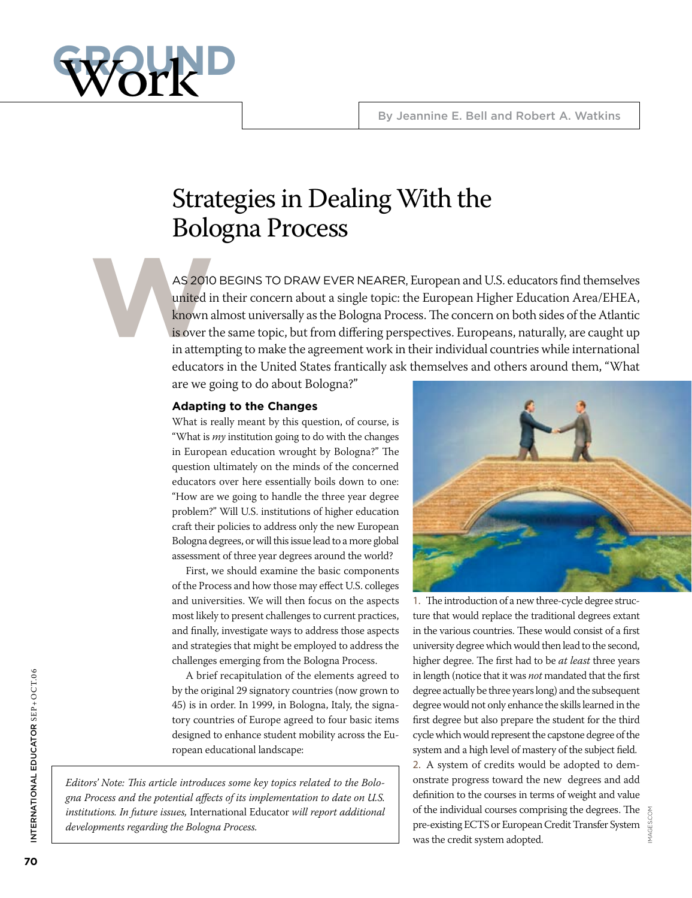

## Strategies in Dealing With the Bologna Process

AS 2010<br>
united in<br>
known a<br>
is over the in attem AS 2010 BEGINS TO DRAW EVER NEARER, European and U.S. educators find themselves united in their concern about a single topic: the European Higher Education Area/EHEA, known almost universally as the Bologna Process. The concern on both sides of the Atlantic is over the same topic, but from differing perspectives. Europeans, naturally, are caught up in attempting to make the agreement work in their individual countries while international educators in the United States frantically ask themselves and others around them, "What

are we going to do about Bologna?"

#### **Adapting to the Changes**

What is really meant by this question, of course, is "What is *my* institution going to do with the changes in European education wrought by Bologna?" The question ultimately on the minds of the concerned educators over here essentially boils down to one: "How are we going to handle the three year degree problem?" Will U.S. institutions of higher education craft their policies to address only the new European Bologna degrees, or will this issue lead to a more global assessment of three year degrees around the world?

First, we should examine the basic components of the Process and how those may effect U.S. colleges and universities. We will then focus on the aspects most likely to present challenges to current practices, and finally, investigate ways to address those aspects and strategies that might be employed to address the challenges emerging from the Bologna Process.

A brief recapitulation of the elements agreed to by the original 29 signatory countries (now grown to 45) is in order. In 1999, in Bologna, Italy, the signatory countries of Europe agreed to four basic items designed to enhance student mobility across the European educational landscape:

*Editors' Note: This article introduces some key topics related to the Bologna Process and the potential affects of its implementation to date on U.S. institutions. In future issues,* International Educator *will report additional developments regarding the Bologna Process.* 



1. The introduction of a new three-cycle degree structure that would replace the traditional degrees extant in the various countries. These would consist of a first university degree which would then lead to the second, higher degree. The first had to be *at least* three years in length (notice that it was *not* mandated that the first degree actually be three years long) and the subsequent degree would not only enhance the skills learned in the first degree but also prepare the student for the third cycle which would represent the capstone degree of the system and a high level of mastery of the subject field. 2. A system of credits would be adopted to demonstrate progress toward the new degrees and add definition to the courses in terms of weight and value of the individual courses comprising the degrees. The pre-existing ECTS or European Credit Transfer System was the credit system adopted.

images.com

MAGES.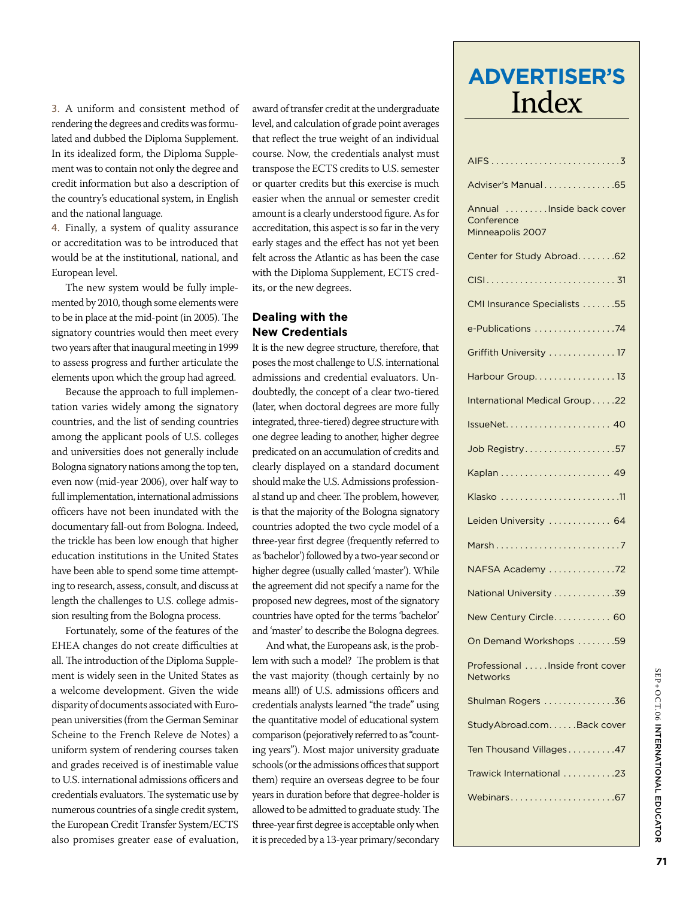3. A uniform and consistent method of award of transfer credit at the undergraduate  $\prod_{\text{order}}$ rendering the degrees and credits was formulated and dubbed the Diploma Supplement. In its idealized form, the Diploma Supplement was to contain not only the degree and credit information but also a description of the country's educational system, in English and the national language.

4. Finally, a system of quality assurance or accreditation was to be introduced that would be at the institutional, national, and European level.

The new system would be fully implemented by 2010, though some elements were to be in place at the mid-point (in 2005). The signatory countries would then meet every two years after that inaugural meeting in 1999 to assess progress and further articulate the elements upon which the group had agreed.

Because the approach to full implementation varies widely among the signatory countries, and the list of sending countries among the applicant pools of U.S. colleges and universities does not generally include Bologna signatory nations among the top ten, even now (mid-year 2006), over half way to full implementation, international admissions officers have not been inundated with the documentary fall-out from Bologna. Indeed, the trickle has been low enough that higher education institutions in the United States have been able to spend some time attempting to research, assess, consult, and discuss at length the challenges to U.S. college admission resulting from the Bologna process.

Fortunately, some of the features of the EHEA changes do not create difficulties at all. The introduction of the Diploma Supplement is widely seen in the United States as a welcome development. Given the wide disparity of documents associated with European universities (from the German Seminar Scheine to the French Releve de Notes) a uniform system of rendering courses taken and grades received is of inestimable value to U.S. international admissions officers and credentials evaluators. The systematic use by numerous countries of a single credit system, the European Credit Transfer System/ECTS also promises greater ease of evaluation, level, and calculation of grade point averages that reflect the true weight of an individual course. Now, the credentials analyst must transpose the ECTS credits to U.S. semester or quarter credits but this exercise is much easier when the annual or semester credit amount is a clearly understood figure. As for accreditation, this aspect is so far in the very early stages and the effect has not yet been felt across the Atlantic as has been the case with the Diploma Supplement, ECTS credits, or the new degrees.

#### **Dealing with the New Credentials**

It is the new degree structure, therefore, that poses the most challenge to U.S. international admissions and credential evaluators. Undoubtedly, the concept of a clear two-tiered (later, when doctoral degrees are more fully integrated, three-tiered) degree structure with one degree leading to another, higher degree predicated on an accumulation of credits and clearly displayed on a standard document should make the U.S. Admissions professional stand up and cheer. The problem, however, is that the majority of the Bologna signatory countries adopted the two cycle model of a three-year first degree (frequently referred to as 'bachelor') followed by a two-year second or higher degree (usually called 'master'). While the agreement did not specify a name for the proposed new degrees, most of the signatory countries have opted for the terms 'bachelor' and 'master' to describe the Bologna degrees.

And what, the Europeans ask, is the problem with such a model? The problem is that the vast majority (though certainly by no means all!) of U.S. admissions officers and credentials analysts learned "the trade" using the quantitative model of educational system comparison (pejoratively referred to as "counting years"). Most major university graduate schools (or the admissions offices that support them) require an overseas degree to be four years in duration before that degree-holder is allowed to be admitted to graduate study. The three-year first degree is acceptable only when it is preceded by a 13-year primary/secondary

# **Advertiser's**

| Adviser's Manual 65                                           |
|---------------------------------------------------------------|
| Annual<br>Inside back cover<br>Conference<br>Minneapolis 2007 |
| Center for Study Abroad62                                     |
|                                                               |
| CMI Insurance Specialists 55                                  |
| e-Publications 74                                             |
| Griffith University  17                                       |
| Harbour Group. 13                                             |
| International Medical Group22                                 |
|                                                               |
| Job Registry57                                                |
|                                                               |
|                                                               |
| Leiden University  64                                         |
| Marsh                                                         |
| NAFSA Academy 72                                              |
| National University 39                                        |
| New Century Circle 60                                         |
| On Demand Workshops 59                                        |
| Professional Inside front cover<br><b>Networks</b>            |
| Shulman Rogers 36                                             |
| StudyAbroad.com. Back cover                                   |
| Ten Thousand Villages47                                       |
| Trawick International 23                                      |
| Webinars67                                                    |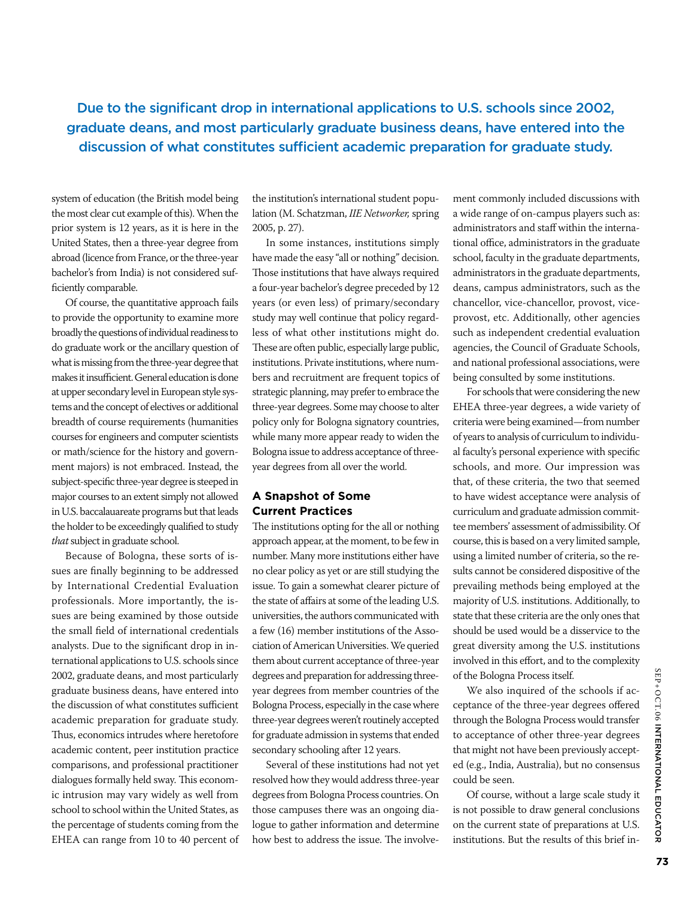Due to the significant drop in international applications to U.S. schools since 2002, graduate deans, and most particularly graduate business deans, have entered into the discussion of what constitutes sufficient academic preparation for graduate study.

system of education (the British model being the most clear cut example of this). When the prior system is 12 years, as it is here in the United States, then a three-year degree from abroad (licence from France, or the three-year bachelor's from India) is not considered sufficiently comparable.

Of course, the quantitative approach fails to provide the opportunity to examine more broadly the questions of individual readiness to do graduate work or the ancillary question of what is missing from the three-year degree that makes it insufficient. General education is done at upper secondary level in European style systems and the concept of electives or additional breadth of course requirements (humanities courses for engineers and computer scientists or math/science for the history and government majors) is not embraced. Instead, the subject-specific three-year degree is steeped in major courses to an extent simply not allowed in U.S. baccalauareate programs but that leads the holder to be exceedingly qualified to study *that* subject in graduate school.

Because of Bologna, these sorts of issues are finally beginning to be addressed by International Credential Evaluation professionals. More importantly, the issues are being examined by those outside the small field of international credentials analysts. Due to the significant drop in international applications to U.S. schools since 2002, graduate deans, and most particularly graduate business deans, have entered into the discussion of what constitutes sufficient academic preparation for graduate study. Thus, economics intrudes where heretofore academic content, peer institution practice comparisons, and professional practitioner dialogues formally held sway. This economic intrusion may vary widely as well from school to school within the United States, as the percentage of students coming from the EHEA can range from 10 to 40 percent of the institution's international student population (M. Schatzman, *IIE Networker,* spring 2005, p. 27).

In some instances, institutions simply have made the easy "all or nothing" decision. Those institutions that have always required a four-year bachelor's degree preceded by 12 years (or even less) of primary/secondary study may well continue that policy regardless of what other institutions might do. These are often public, especially large public, institutions. Private institutions, where numbers and recruitment are frequent topics of strategic planning, may prefer to embrace the three-year degrees. Some may choose to alter policy only for Bologna signatory countries, while many more appear ready to widen the Bologna issue to address acceptance of threeyear degrees from all over the world.

#### **A Snapshot of Some Current Practices**

The institutions opting for the all or nothing approach appear, at the moment, to be few in number. Many more institutions either have no clear policy as yet or are still studying the issue. To gain a somewhat clearer picture of the state of affairs at some of the leading U.S. universities, the authors communicated with a few (16) member institutions of the Association of American Universities. We queried them about current acceptance of three-year degrees and preparation for addressing threeyear degrees from member countries of the Bologna Process, especially in the case where three-year degrees weren't routinely accepted for graduate admission in systems that ended secondary schooling after 12 years.

Several of these institutions had not yet resolved how they would address three-year degrees from Bologna Process countries. On those campuses there was an ongoing dialogue to gather information and determine how best to address the issue. The involve-

ment commonly included discussions with a wide range of on-campus players such as: administrators and staff within the international office, administrators in the graduate school, faculty in the graduate departments, administrators in the graduate departments, deans, campus administrators, such as the chancellor, vice-chancellor, provost, viceprovost, etc. Additionally, other agencies such as independent credential evaluation agencies, the Council of Graduate Schools, and national professional associations, were being consulted by some institutions.

For schools that were considering the new EHEA three-year degrees, a wide variety of criteria were being examined—from number of years to analysis of curriculum to individual faculty's personal experience with specific schools, and more. Our impression was that, of these criteria, the two that seemed to have widest acceptance were analysis of curriculum and graduate admission committee members' assessment of admissibility. Of course, this is based on a very limited sample, using a limited number of criteria, so the results cannot be considered dispositive of the prevailing methods being employed at the majority of U.S. institutions. Additionally, to state that these criteria are the only ones that should be used would be a disservice to the great diversity among the U.S. institutions involved in this effort, and to the complexity of the Bologna Process itself.

We also inquired of the schools if acceptance of the three-year degrees offered through the Bologna Process would transfer to acceptance of other three-year degrees that might not have been previously accepted (e.g., India, Australia), but no consensus could be seen.

Of course, without a large scale study it is not possible to draw general conclusions on the current state of preparations at U.S. institutions. But the results of this brief in